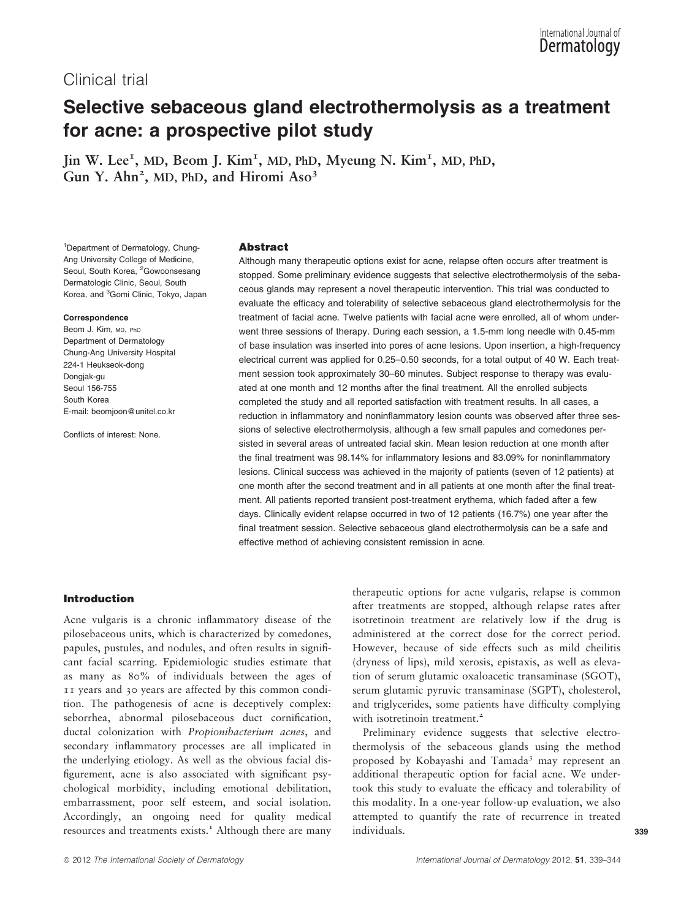# Clinical trial

# Selective sebaceous gland electrothermolysis as a treatment for acne: a prospective pilot study

Jin W. Lee<sup>1</sup>, MD, Beom J. Kim<sup>1</sup>, MD, PhD, Myeung N. Kim<sup>1</sup>, MD, PhD, Gun Y. Ahn<sup>2</sup>, MD, PhD, and Hiromi Aso<sup>3</sup>

1 Department of Dermatology, Chung-Ang University College of Medicine, Seoul, South Korea, <sup>2</sup>Gowoonsesang Dermatologic Clinic, Seoul, South Korea, and <sup>3</sup>Gomi Clinic, Tokyo, Japan

#### Correspondence

Beom J. Kim, MD, PhD Department of Dermatology Chung-Ang University Hospital 224-1 Heukseok-dong Dongjak-gu Seoul 156-755 South Korea E-mail: beomjoon@unitel.co.kr

Conflicts of interest: None.

#### Abstract

Although many therapeutic options exist for acne, relapse often occurs after treatment is stopped. Some preliminary evidence suggests that selective electrothermolysis of the sebaceous glands may represent a novel therapeutic intervention. This trial was conducted to evaluate the efficacy and tolerability of selective sebaceous gland electrothermolysis for the treatment of facial acne. Twelve patients with facial acne were enrolled, all of whom underwent three sessions of therapy. During each session, a 1.5-mm long needle with 0.45-mm of base insulation was inserted into pores of acne lesions. Upon insertion, a high-frequency electrical current was applied for 0.25–0.50 seconds, for a total output of 40 W. Each treatment session took approximately 30–60 minutes. Subject response to therapy was evaluated at one month and 12 months after the final treatment. All the enrolled subjects completed the study and all reported satisfaction with treatment results. In all cases, a reduction in inflammatory and noninflammatory lesion counts was observed after three sessions of selective electrothermolysis, although a few small papules and comedones persisted in several areas of untreated facial skin. Mean lesion reduction at one month after the final treatment was 98.14% for inflammatory lesions and 83.09% for noninflammatory lesions. Clinical success was achieved in the majority of patients (seven of 12 patients) at one month after the second treatment and in all patients at one month after the final treatment. All patients reported transient post-treatment erythema, which faded after a few days. Clinically evident relapse occurred in two of 12 patients (16.7%) one year after the final treatment session. Selective sebaceous gland electrothermolysis can be a safe and effective method of achieving consistent remission in acne.

# Introduction

Acne vulgaris is a chronic inflammatory disease of the pilosebaceous units, which is characterized by comedones, papules, pustules, and nodules, and often results in significant facial scarring. Epidemiologic studies estimate that as many as 80% of individuals between the ages of 11 years and 30 years are affected by this common condition. The pathogenesis of acne is deceptively complex: seborrhea, abnormal pilosebaceous duct cornification, ductal colonization with Propionibacterium acnes, and secondary inflammatory processes are all implicated in the underlying etiology. As well as the obvious facial disfigurement, acne is also associated with significant psychological morbidity, including emotional debilitation, embarrassment, poor self esteem, and social isolation. Accordingly, an ongoing need for quality medical resources and treatments exists.<sup>1</sup> Although there are many

therapeutic options for acne vulgaris, relapse is common after treatments are stopped, although relapse rates after isotretinoin treatment are relatively low if the drug is administered at the correct dose for the correct period. However, because of side effects such as mild cheilitis (dryness of lips), mild xerosis, epistaxis, as well as elevation of serum glutamic oxaloacetic transaminase (SGOT), serum glutamic pyruvic transaminase (SGPT), cholesterol, and triglycerides, some patients have difficulty complying with isotretinoin treatment.<sup>2</sup>

Preliminary evidence suggests that selective electrothermolysis of the sebaceous glands using the method proposed by Kobayashi and Tamada<sup>3</sup> may represent an additional therapeutic option for facial acne. We undertook this study to evaluate the efficacy and tolerability of this modality. In a one-year follow-up evaluation, we also attempted to quantify the rate of recurrence in treated individuals. 339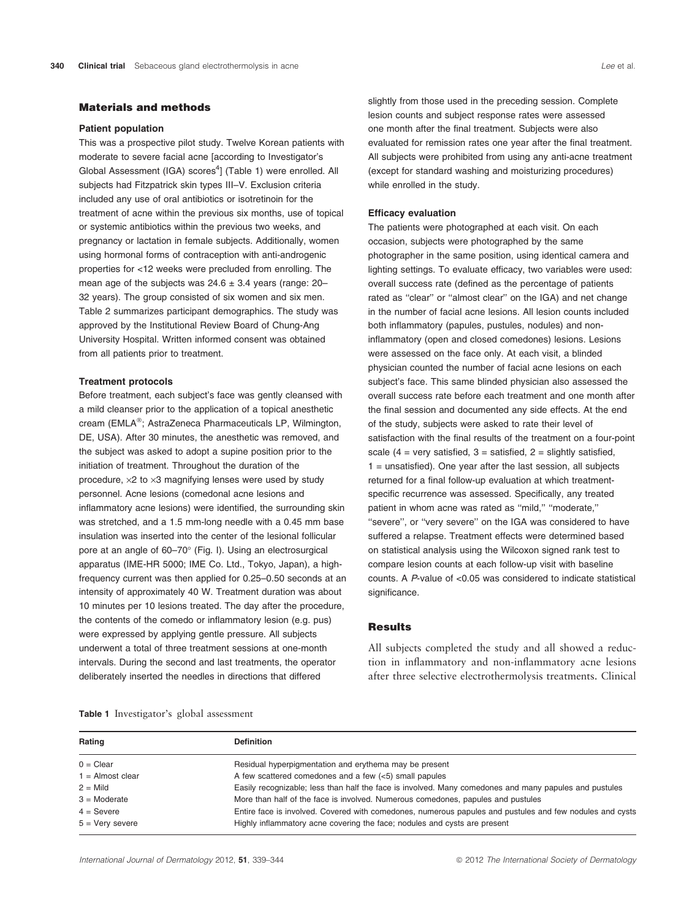# Materials and methods

## Patient population

This was a prospective pilot study. Twelve Korean patients with moderate to severe facial acne [according to Investigator's Global Assessment (IGA) scores<sup>4</sup>] (Table 1) were enrolled. All subjects had Fitzpatrick skin types III–V. Exclusion criteria included any use of oral antibiotics or isotretinoin for the treatment of acne within the previous six months, use of topical or systemic antibiotics within the previous two weeks, and pregnancy or lactation in female subjects. Additionally, women using hormonal forms of contraception with anti-androgenic properties for <12 weeks were precluded from enrolling. The mean age of the subjects was  $24.6 \pm 3.4$  years (range: 20– 32 years). The group consisted of six women and six men. Table 2 summarizes participant demographics. The study was approved by the Institutional Review Board of Chung-Ang University Hospital. Written informed consent was obtained from all patients prior to treatment.

#### Treatment protocols

Before treatment, each subject's face was gently cleansed with a mild cleanser prior to the application of a topical anesthetic cream (EMLA®; AstraZeneca Pharmaceuticals LP, Wilmington, DE, USA). After 30 minutes, the anesthetic was removed, and the subject was asked to adopt a supine position prior to the initiation of treatment. Throughout the duration of the procedure,  $\times 2$  to  $\times 3$  magnifying lenses were used by study personnel. Acne lesions (comedonal acne lesions and inflammatory acne lesions) were identified, the surrounding skin was stretched, and a 1.5 mm-long needle with a 0.45 mm base insulation was inserted into the center of the lesional follicular pore at an angle of 60–70° (Fig. I). Using an electrosurgical apparatus (IME-HR 5000; IME Co. Ltd., Tokyo, Japan), a highfrequency current was then applied for 0.25–0.50 seconds at an intensity of approximately 40 W. Treatment duration was about 10 minutes per 10 lesions treated. The day after the procedure, the contents of the comedo or inflammatory lesion (e.g. pus) were expressed by applying gentle pressure. All subjects underwent a total of three treatment sessions at one-month intervals. During the second and last treatments, the operator deliberately inserted the needles in directions that differed

slightly from those used in the preceding session. Complete lesion counts and subject response rates were assessed one month after the final treatment. Subjects were also evaluated for remission rates one year after the final treatment. All subjects were prohibited from using any anti-acne treatment (except for standard washing and moisturizing procedures) while enrolled in the study.

# Efficacy evaluation

The patients were photographed at each visit. On each occasion, subjects were photographed by the same photographer in the same position, using identical camera and lighting settings. To evaluate efficacy, two variables were used: overall success rate (defined as the percentage of patients rated as ''clear'' or ''almost clear'' on the IGA) and net change in the number of facial acne lesions. All lesion counts included both inflammatory (papules, pustules, nodules) and noninflammatory (open and closed comedones) lesions. Lesions were assessed on the face only. At each visit, a blinded physician counted the number of facial acne lesions on each subject's face. This same blinded physician also assessed the overall success rate before each treatment and one month after the final session and documented any side effects. At the end of the study, subjects were asked to rate their level of satisfaction with the final results of the treatment on a four-point scale (4 = very satisfied,  $3$  = satisfied,  $2$  = slightly satisfied, 1 = unsatisfied). One year after the last session, all subjects returned for a final follow-up evaluation at which treatmentspecific recurrence was assessed. Specifically, any treated patient in whom acne was rated as ''mild,'' ''moderate,'' "severe", or "very severe" on the IGA was considered to have suffered a relapse. Treatment effects were determined based on statistical analysis using the Wilcoxon signed rank test to compare lesion counts at each follow-up visit with baseline counts. A P-value of <0.05 was considered to indicate statistical significance.

# Results

All subjects completed the study and all showed a reduction in inflammatory and non-inflammatory acne lesions after three selective electrothermolysis treatments. Clinical

|  | <b>Table 1</b> Investigator's global assessment |  |  |
|--|-------------------------------------------------|--|--|
|--|-------------------------------------------------|--|--|

| Rating             | <b>Definition</b>                                                                                        |  |
|--------------------|----------------------------------------------------------------------------------------------------------|--|
| $0 =$ Clear        | Residual hyperpigmentation and erythema may be present                                                   |  |
| $1 =$ Almost clear | A few scattered comedones and a few $(<5)$ small papules                                                 |  |
| $2 =$ Mild         | Easily recognizable; less than half the face is involved. Many comedones and many papules and pustules   |  |
| $3 =$ Moderate     | More than half of the face is involved. Numerous comedones, papules and pustules                         |  |
| $4 =$ Severe       | Entire face is involved. Covered with comedones, numerous papules and pustules and few nodules and cysts |  |
| $5 =$ Very severe  | Highly inflammatory acne covering the face; nodules and cysts are present                                |  |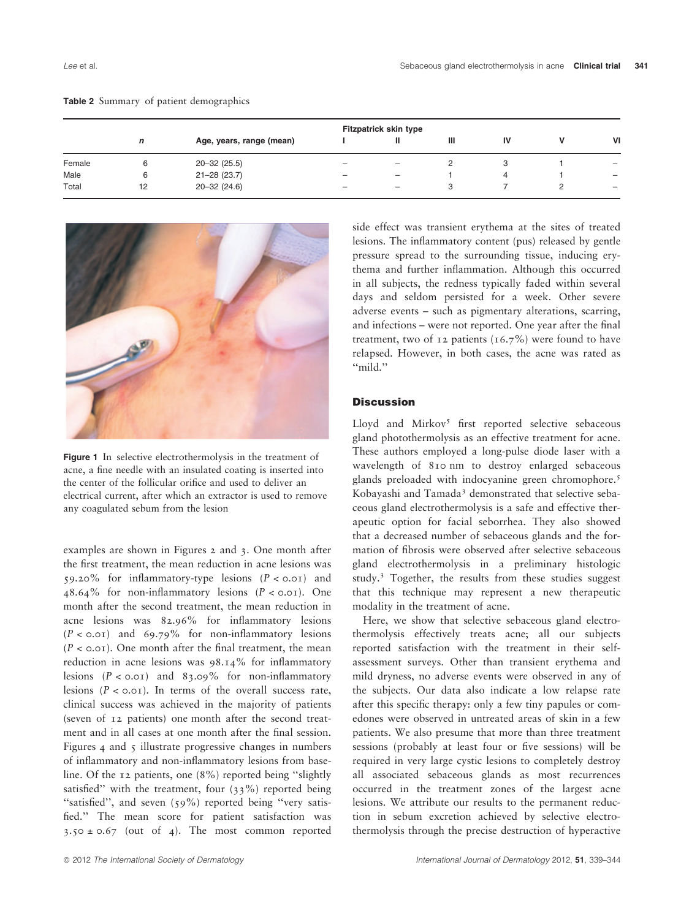| <b>Table 2</b> Summary of patient demographics |  |
|------------------------------------------------|--|
|------------------------------------------------|--|

|        | <b>Fitzpatrick skin type</b> |                          |                          |                          |   |    |  |                   |
|--------|------------------------------|--------------------------|--------------------------|--------------------------|---|----|--|-------------------|
|        | n                            | Age, years, range (mean) |                          |                          | Ш | IV |  | VI                |
| Female | 6                            | $20 - 32(25.5)$          | $\overline{\phantom{0}}$ | $\overline{\phantom{0}}$ |   |    |  | $\qquad \qquad -$ |
| Male   | 6                            | $21 - 28(23.7)$          | -                        | $\overline{\phantom{0}}$ |   |    |  | $\qquad \qquad -$ |
| Total  | 12                           | $20 - 32(24.6)$          | $\overline{\phantom{0}}$ | $\qquad \qquad -$        | 3 |    |  | $\qquad \qquad -$ |



Figure 1 In selective electrothermolysis in the treatment of acne, a fine needle with an insulated coating is inserted into the center of the follicular orifice and used to deliver an electrical current, after which an extractor is used to remove any coagulated sebum from the lesion

examples are shown in Figures 2 and 3. One month after the first treatment, the mean reduction in acne lesions was 59.20% for inflammatory-type lesions  $(P < 0.01)$  and 48.64% for non-inflammatory lesions  $(P < 0.01)$ . One month after the second treatment, the mean reduction in acne lesions was 82.96% for inflammatory lesions  $(P < 0.01)$  and 69.79% for non-inflammatory lesions  $(P < 0.01)$ . One month after the final treatment, the mean reduction in acne lesions was 98.14% for inflammatory lesions  $(P < 0.01)$  and 83.09% for non-inflammatory lesions  $(P < 0.01)$ . In terms of the overall success rate, clinical success was achieved in the majority of patients (seven of 12 patients) one month after the second treatment and in all cases at one month after the final session. Figures 4 and 5 illustrate progressive changes in numbers of inflammatory and non-inflammatory lesions from baseline. Of the 12 patients, one (8%) reported being ''slightly satisfied" with the treatment, four (33%) reported being ''satisfied'', and seven (59%) reported being ''very satisfied.'' The mean score for patient satisfaction was  $3.50 \pm 0.67$  (out of 4). The most common reported

side effect was transient erythema at the sites of treated lesions. The inflammatory content (pus) released by gentle pressure spread to the surrounding tissue, inducing erythema and further inflammation. Although this occurred in all subjects, the redness typically faded within several days and seldom persisted for a week. Other severe adverse events – such as pigmentary alterations, scarring, and infections – were not reported. One year after the final treatment, two of 12 patients  $(16.7%)$  were found to have relapsed. However, in both cases, the acne was rated as ''mild.''

# **Discussion**

Lloyd and Mirkov<sup>5</sup> first reported selective sebaceous gland photothermolysis as an effective treatment for acne. These authors employed a long-pulse diode laser with a wavelength of 810 nm to destroy enlarged sebaceous glands preloaded with indocyanine green chromophore.<sup>5</sup> Kobayashi and Tamada<sup>3</sup> demonstrated that selective sebaceous gland electrothermolysis is a safe and effective therapeutic option for facial seborrhea. They also showed that a decreased number of sebaceous glands and the formation of fibrosis were observed after selective sebaceous gland electrothermolysis in a preliminary histologic study.<sup>3</sup> Together, the results from these studies suggest that this technique may represent a new therapeutic modality in the treatment of acne.

Here, we show that selective sebaceous gland electrothermolysis effectively treats acne; all our subjects reported satisfaction with the treatment in their selfassessment surveys. Other than transient erythema and mild dryness, no adverse events were observed in any of the subjects. Our data also indicate a low relapse rate after this specific therapy: only a few tiny papules or comedones were observed in untreated areas of skin in a few patients. We also presume that more than three treatment sessions (probably at least four or five sessions) will be required in very large cystic lesions to completely destroy all associated sebaceous glands as most recurrences occurred in the treatment zones of the largest acne lesions. We attribute our results to the permanent reduction in sebum excretion achieved by selective electrothermolysis through the precise destruction of hyperactive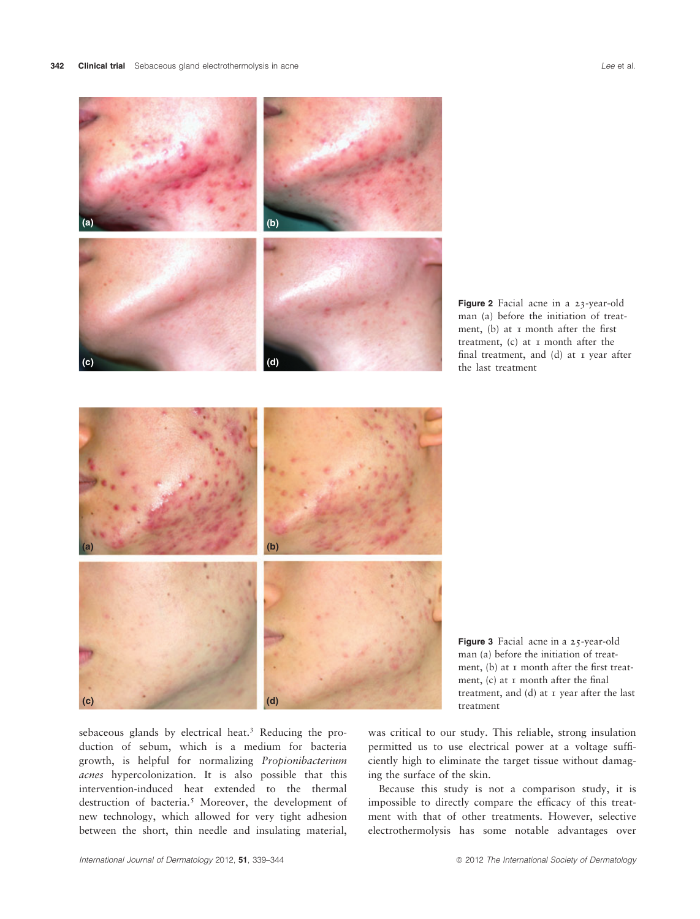

sebaceous glands by electrical heat.<sup>3</sup> Reducing the production of sebum, which is a medium for bacteria growth, is helpful for normalizing Propionibacterium acnes hypercolonization. It is also possible that this intervention-induced heat extended to the thermal destruction of bacteria.<sup>5</sup> Moreover, the development of new technology, which allowed for very tight adhesion between the short, thin needle and insulating material,

was critical to our study. This reliable, strong insulation permitted us to use electrical power at a voltage sufficiently high to eliminate the target tissue without damaging the surface of the skin.

Because this study is not a comparison study, it is impossible to directly compare the efficacy of this treatment with that of other treatments. However, selective electrothermolysis has some notable advantages over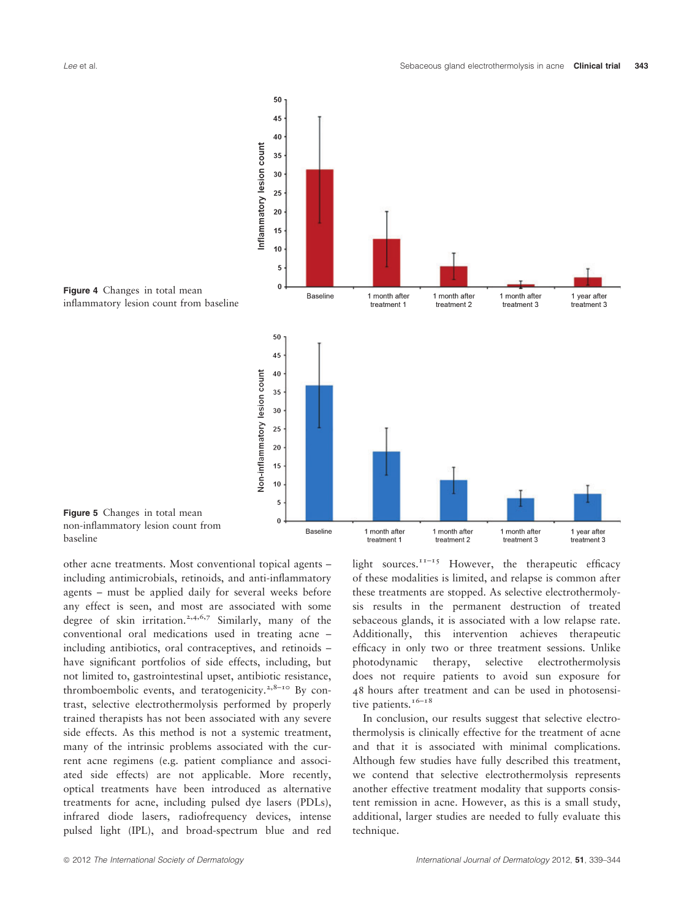

Figure 5 Changes in total mean non-inflammatory lesion count from

baseline

other acne treatments. Most conventional topical agents – including antimicrobials, retinoids, and anti-inflammatory agents – must be applied daily for several weeks before any effect is seen, and most are associated with some degree of skin irritation.<sup>2,4,6,7</sup> Similarly, many of the conventional oral medications used in treating acne – including antibiotics, oral contraceptives, and retinoids – have significant portfolios of side effects, including, but not limited to, gastrointestinal upset, antibiotic resistance, thromboembolic events, and teratogenicity.<sup>2,8-10</sup> By contrast, selective electrothermolysis performed by properly trained therapists has not been associated with any severe side effects. As this method is not a systemic treatment, many of the intrinsic problems associated with the current acne regimens (e.g. patient compliance and associated side effects) are not applicable. More recently, optical treatments have been introduced as alternative treatments for acne, including pulsed dye lasers (PDLs), infrared diode lasers, radiofrequency devices, intense pulsed light (IPL), and broad-spectrum blue and red light sources.<sup> $11-15$ </sup> However, the therapeutic efficacy of these modalities is limited, and relapse is common after these treatments are stopped. As selective electrothermolysis results in the permanent destruction of treated sebaceous glands, it is associated with a low relapse rate. Additionally, this intervention achieves therapeutic efficacy in only two or three treatment sessions. Unlike photodynamic therapy, selective electrothermolysis does not require patients to avoid sun exposure for 48 hours after treatment and can be used in photosensitive patients.<sup>16-18</sup>

In conclusion, our results suggest that selective electrothermolysis is clinically effective for the treatment of acne and that it is associated with minimal complications. Although few studies have fully described this treatment, we contend that selective electrothermolysis represents another effective treatment modality that supports consistent remission in acne. However, as this is a small study, additional, larger studies are needed to fully evaluate this technique.